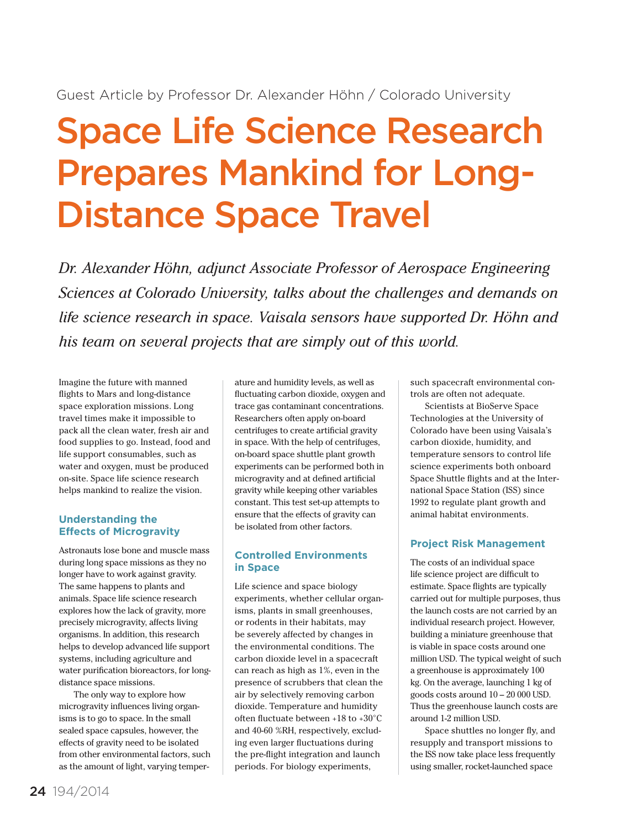# Space Life Science Research Prepares Mankind for Long-Distance Space Travel

*Dr. Alexander Höhn, adjunct Associate Professor of Aerospace Engineering Sciences at Colorado University, talks about the challenges and demands on life science research in space. Vaisala sensors have supported Dr. Höhn and his team on several projects that are simply out of this world.*

Imagine the future with manned flights to Mars and long-distance space exploration missions. Long travel times make it impossible to pack all the clean water, fresh air and food supplies to go. Instead, food and life support consumables, such as water and oxygen, must be produced on-site. Space life science research helps mankind to realize the vision.

## **Understanding the Effects of Microgravity**

Astronauts lose bone and muscle mass during long space missions as they no longer have to work against gravity. The same happens to plants and animals. Space life science research explores how the lack of gravity, more precisely microgravity, affects living organisms. In addition, this research helps to develop advanced life support systems, including agriculture and water purification bioreactors, for longdistance space missions.

The only way to explore how microgravity influences living organisms is to go to space. In the small sealed space capsules, however, the effects of gravity need to be isolated from other environmental factors, such as the amount of light, varying temperature and humidity levels, as well as fluctuating carbon dioxide, oxygen and trace gas contaminant concentrations. Researchers often apply on-board centrifuges to create artificial gravity in space. With the help of centrifuges, on-board space shuttle plant growth experiments can be performed both in microgravity and at defined artificial gravity while keeping other variables constant. This test set-up attempts to ensure that the effects of gravity can be isolated from other factors.

## **Controlled Environments in Space**

Life science and space biology experiments, whether cellular organisms, plants in small greenhouses, or rodents in their habitats, may be severely affected by changes in the environmental conditions. The carbon dioxide level in a spacecraft can reach as high as 1%, even in the presence of scrubbers that clean the air by selectively removing carbon dioxide. Temperature and humidity often fluctuate between +18 to +30°C and 40-60 %RH, respectively, excluding even larger fluctuations during the pre-flight integration and launch periods. For biology experiments,

such spacecraft environmental controls are often not adequate.

Scientists at BioServe Space Technologies at the University of Colorado have been using Vaisala's carbon dioxide, humidity, and temperature sensors to control life science experiments both onboard Space Shuttle flights and at the International Space Station (ISS) since 1992 to regulate plant growth and animal habitat environments.

# **Project Risk Management**

The costs of an individual space life science project are difficult to estimate. Space flights are typically carried out for multiple purposes, thus the launch costs are not carried by an individual research project. However, building a miniature greenhouse that is viable in space costs around one million USD. The typical weight of such a greenhouse is approximately 100 kg. On the average, launching 1 kg of goods costs around 10 – 20 000 USD. Thus the greenhouse launch costs are around 1-2 million USD.

Space shuttles no longer fly, and resupply and transport missions to the ISS now take place less frequently using smaller, rocket-launched space